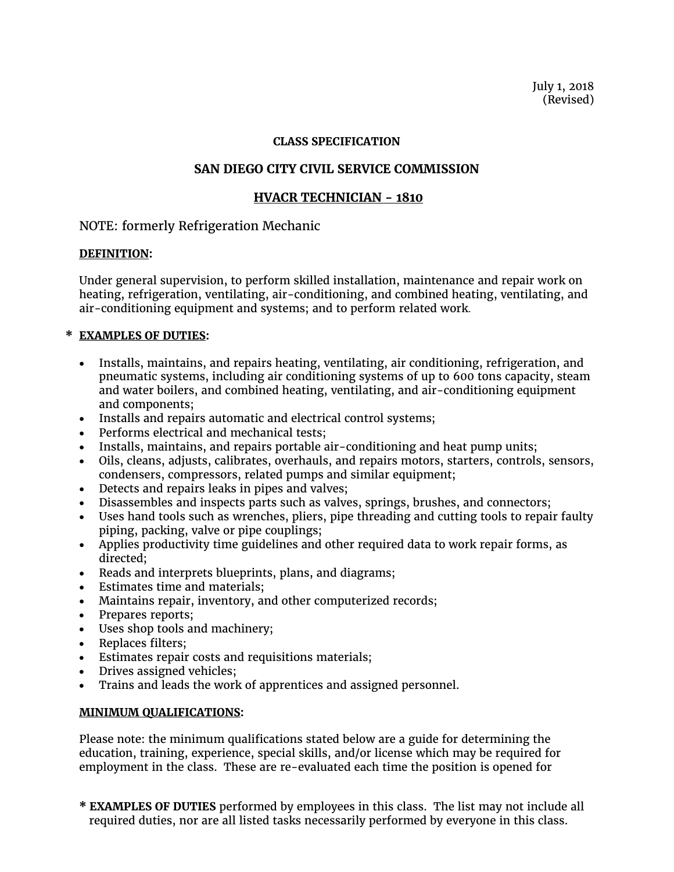July 1, 2018 (Revised)

#### **CLASS SPECIFICATION**

# **SAN DIEGO CITY CIVIL SERVICE COMMISSION**

### **HVACR TECHNICIAN - 1810**

## NOTE: formerly Refrigeration Mechanic

### **DEFINITION:**

Under general supervision, to perform skilled installation, maintenance and repair work on heating, refrigeration, ventilating, air-conditioning, and combined heating, ventilating, and air-conditioning equipment and systems; and to perform related work.

### **\* EXAMPLES OF DUTIES:**

- Installs, maintains, and repairs heating, ventilating, air conditioning, refrigeration, and pneumatic systems, including air conditioning systems of up to 600 tons capacity, steam and water boilers, and combined heating, ventilating, and air-conditioning equipment and components;
- Installs and repairs automatic and electrical control systems;
- Performs electrical and mechanical tests;
- Installs, maintains, and repairs portable air-conditioning and heat pump units;
- Oils, cleans, adjusts, calibrates, overhauls, and repairs motors, starters, controls, sensors, condensers, compressors, related pumps and similar equipment;
- Detects and repairs leaks in pipes and valves;
- Disassembles and inspects parts such as valves, springs, brushes, and connectors;
- Uses hand tools such as wrenches, pliers, pipe threading and cutting tools to repair faulty piping, packing, valve or pipe couplings;
- Applies productivity time guidelines and other required data to work repair forms, as directed;
- Reads and interprets blueprints, plans, and diagrams;
- Estimates time and materials;
- Maintains repair, inventory, and other computerized records;
- Prepares reports;
- Uses shop tools and machinery;
- Replaces filters;
- Estimates repair costs and requisitions materials;
- Drives assigned vehicles;
- Trains and leads the work of apprentices and assigned personnel.

### **MINIMUM QUALIFICATIONS:**

Please note: the minimum qualifications stated below are a guide for determining the education, training, experience, special skills, and/or license which may be required for employment in the class. These are re-evaluated each time the position is opened for

**\* EXAMPLES OF DUTIES** performed by employees in this class. The list may not include all required duties, nor are all listed tasks necessarily performed by everyone in this class.